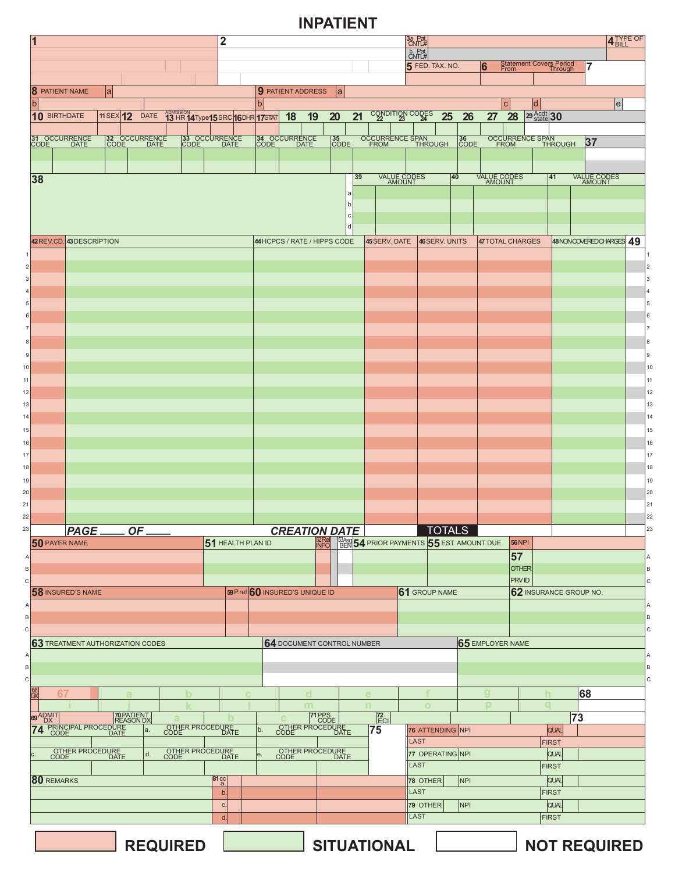## **INPATIENT**

| 3a Pat<br>$\overline{\mathbf{2}}$<br>$\frac{b. \text{ Pat}}{\text{CNTL#}}$<br>Statement Covers Period<br>From Through<br>5 FED. TAX. NO.<br>$\overline{6}$<br>17<br>9 PATIENT ADDRESS<br><b>8 PATIENT NAME</b><br> a <br> a <br>b<br>ld<br>lc.<br>CONDITION CODES<br>22 23 24<br>ADMISSION<br>13 HR 14Type15 SRC 16DHR 17STAT<br>29 Acdt 30<br>11 SEX $12$ DATE<br>21<br>20<br>25<br>28<br>10 BIRTHDATE<br>18<br>26<br>27<br>19<br>31 OCCURRENCE<br>CODE DATE<br>OCCURRENCE SPAN<br>FROM THROUGH<br>32 OCCURRENCE<br>33 OCCURRENCE<br>34 OCCURRENCE<br>CODE DATE<br>$35$<br>CODE<br>OCCURRENCE SPAN<br>FROM THROUGH<br>36<br>CODE<br> 37 <br>VALUE CODES<br>AMOUNT<br>VALUE CODES<br>AMOUNT<br>41<br>VALUE CODES<br>AMOUNT<br>39<br>40<br>38<br>a<br> b <br>$\mathbf c$<br>d<br>42 REV.CD. 43 DESCRIPTION<br>44 HCPCS / RATE / HIPPS CODE<br>46 SERV. UNITS<br>48 NONCOVERED CHARGES 49<br>45 SERV. DATE<br>47 TOTAL CHARGES<br>$\left  \right $<br>3<br>$\overline{4}$<br>5<br>6<br>7<br>8<br>9<br>10<br>11<br>12<br>13<br>14<br>15<br>16 | <b>4 TYPE OF</b><br> e |  |  |
|--------------------------------------------------------------------------------------------------------------------------------------------------------------------------------------------------------------------------------------------------------------------------------------------------------------------------------------------------------------------------------------------------------------------------------------------------------------------------------------------------------------------------------------------------------------------------------------------------------------------------------------------------------------------------------------------------------------------------------------------------------------------------------------------------------------------------------------------------------------------------------------------------------------------------------------------------------------------------------------------------------------------------------------------|------------------------|--|--|
|                                                                                                                                                                                                                                                                                                                                                                                                                                                                                                                                                                                                                                                                                                                                                                                                                                                                                                                                                                                                                                            |                        |  |  |
|                                                                                                                                                                                                                                                                                                                                                                                                                                                                                                                                                                                                                                                                                                                                                                                                                                                                                                                                                                                                                                            |                        |  |  |
|                                                                                                                                                                                                                                                                                                                                                                                                                                                                                                                                                                                                                                                                                                                                                                                                                                                                                                                                                                                                                                            |                        |  |  |
|                                                                                                                                                                                                                                                                                                                                                                                                                                                                                                                                                                                                                                                                                                                                                                                                                                                                                                                                                                                                                                            |                        |  |  |
|                                                                                                                                                                                                                                                                                                                                                                                                                                                                                                                                                                                                                                                                                                                                                                                                                                                                                                                                                                                                                                            |                        |  |  |
|                                                                                                                                                                                                                                                                                                                                                                                                                                                                                                                                                                                                                                                                                                                                                                                                                                                                                                                                                                                                                                            |                        |  |  |
|                                                                                                                                                                                                                                                                                                                                                                                                                                                                                                                                                                                                                                                                                                                                                                                                                                                                                                                                                                                                                                            |                        |  |  |
|                                                                                                                                                                                                                                                                                                                                                                                                                                                                                                                                                                                                                                                                                                                                                                                                                                                                                                                                                                                                                                            |                        |  |  |
|                                                                                                                                                                                                                                                                                                                                                                                                                                                                                                                                                                                                                                                                                                                                                                                                                                                                                                                                                                                                                                            |                        |  |  |
|                                                                                                                                                                                                                                                                                                                                                                                                                                                                                                                                                                                                                                                                                                                                                                                                                                                                                                                                                                                                                                            |                        |  |  |
|                                                                                                                                                                                                                                                                                                                                                                                                                                                                                                                                                                                                                                                                                                                                                                                                                                                                                                                                                                                                                                            |                        |  |  |
|                                                                                                                                                                                                                                                                                                                                                                                                                                                                                                                                                                                                                                                                                                                                                                                                                                                                                                                                                                                                                                            |                        |  |  |
|                                                                                                                                                                                                                                                                                                                                                                                                                                                                                                                                                                                                                                                                                                                                                                                                                                                                                                                                                                                                                                            |                        |  |  |
|                                                                                                                                                                                                                                                                                                                                                                                                                                                                                                                                                                                                                                                                                                                                                                                                                                                                                                                                                                                                                                            |                        |  |  |
|                                                                                                                                                                                                                                                                                                                                                                                                                                                                                                                                                                                                                                                                                                                                                                                                                                                                                                                                                                                                                                            |                        |  |  |
|                                                                                                                                                                                                                                                                                                                                                                                                                                                                                                                                                                                                                                                                                                                                                                                                                                                                                                                                                                                                                                            |                        |  |  |
|                                                                                                                                                                                                                                                                                                                                                                                                                                                                                                                                                                                                                                                                                                                                                                                                                                                                                                                                                                                                                                            |                        |  |  |
|                                                                                                                                                                                                                                                                                                                                                                                                                                                                                                                                                                                                                                                                                                                                                                                                                                                                                                                                                                                                                                            |                        |  |  |
|                                                                                                                                                                                                                                                                                                                                                                                                                                                                                                                                                                                                                                                                                                                                                                                                                                                                                                                                                                                                                                            |                        |  |  |
|                                                                                                                                                                                                                                                                                                                                                                                                                                                                                                                                                                                                                                                                                                                                                                                                                                                                                                                                                                                                                                            |                        |  |  |
|                                                                                                                                                                                                                                                                                                                                                                                                                                                                                                                                                                                                                                                                                                                                                                                                                                                                                                                                                                                                                                            |                        |  |  |
|                                                                                                                                                                                                                                                                                                                                                                                                                                                                                                                                                                                                                                                                                                                                                                                                                                                                                                                                                                                                                                            |                        |  |  |
|                                                                                                                                                                                                                                                                                                                                                                                                                                                                                                                                                                                                                                                                                                                                                                                                                                                                                                                                                                                                                                            |                        |  |  |
|                                                                                                                                                                                                                                                                                                                                                                                                                                                                                                                                                                                                                                                                                                                                                                                                                                                                                                                                                                                                                                            |                        |  |  |
|                                                                                                                                                                                                                                                                                                                                                                                                                                                                                                                                                                                                                                                                                                                                                                                                                                                                                                                                                                                                                                            |                        |  |  |
|                                                                                                                                                                                                                                                                                                                                                                                                                                                                                                                                                                                                                                                                                                                                                                                                                                                                                                                                                                                                                                            |                        |  |  |
|                                                                                                                                                                                                                                                                                                                                                                                                                                                                                                                                                                                                                                                                                                                                                                                                                                                                                                                                                                                                                                            |                        |  |  |
|                                                                                                                                                                                                                                                                                                                                                                                                                                                                                                                                                                                                                                                                                                                                                                                                                                                                                                                                                                                                                                            |                        |  |  |
|                                                                                                                                                                                                                                                                                                                                                                                                                                                                                                                                                                                                                                                                                                                                                                                                                                                                                                                                                                                                                                            |                        |  |  |
|                                                                                                                                                                                                                                                                                                                                                                                                                                                                                                                                                                                                                                                                                                                                                                                                                                                                                                                                                                                                                                            |                        |  |  |
|                                                                                                                                                                                                                                                                                                                                                                                                                                                                                                                                                                                                                                                                                                                                                                                                                                                                                                                                                                                                                                            |                        |  |  |
|                                                                                                                                                                                                                                                                                                                                                                                                                                                                                                                                                                                                                                                                                                                                                                                                                                                                                                                                                                                                                                            |                        |  |  |
|                                                                                                                                                                                                                                                                                                                                                                                                                                                                                                                                                                                                                                                                                                                                                                                                                                                                                                                                                                                                                                            |                        |  |  |
|                                                                                                                                                                                                                                                                                                                                                                                                                                                                                                                                                                                                                                                                                                                                                                                                                                                                                                                                                                                                                                            |                        |  |  |
|                                                                                                                                                                                                                                                                                                                                                                                                                                                                                                                                                                                                                                                                                                                                                                                                                                                                                                                                                                                                                                            |                        |  |  |
| 17                                                                                                                                                                                                                                                                                                                                                                                                                                                                                                                                                                                                                                                                                                                                                                                                                                                                                                                                                                                                                                         |                        |  |  |
| 18                                                                                                                                                                                                                                                                                                                                                                                                                                                                                                                                                                                                                                                                                                                                                                                                                                                                                                                                                                                                                                         |                        |  |  |
| 19                                                                                                                                                                                                                                                                                                                                                                                                                                                                                                                                                                                                                                                                                                                                                                                                                                                                                                                                                                                                                                         |                        |  |  |
| $20 \mid$                                                                                                                                                                                                                                                                                                                                                                                                                                                                                                                                                                                                                                                                                                                                                                                                                                                                                                                                                                                                                                  |                        |  |  |
|                                                                                                                                                                                                                                                                                                                                                                                                                                                                                                                                                                                                                                                                                                                                                                                                                                                                                                                                                                                                                                            |                        |  |  |
| 21                                                                                                                                                                                                                                                                                                                                                                                                                                                                                                                                                                                                                                                                                                                                                                                                                                                                                                                                                                                                                                         |                        |  |  |
| 22                                                                                                                                                                                                                                                                                                                                                                                                                                                                                                                                                                                                                                                                                                                                                                                                                                                                                                                                                                                                                                         |                        |  |  |
| $23\vert$<br><b>TOTALS</b><br>PAGE<br><b>CREATION DATE</b><br>$OF_$                                                                                                                                                                                                                                                                                                                                                                                                                                                                                                                                                                                                                                                                                                                                                                                                                                                                                                                                                                        |                        |  |  |
| <b>SPREED 534SP 54 PRIOR PAYMENTS 55 EST. AMOUNT DUE</b><br>51 HEALTH PLAN ID<br>50 PAYER NAME<br>56 NPI                                                                                                                                                                                                                                                                                                                                                                                                                                                                                                                                                                                                                                                                                                                                                                                                                                                                                                                                   |                        |  |  |
| 57<br>$\mathsf{A}$                                                                                                                                                                                                                                                                                                                                                                                                                                                                                                                                                                                                                                                                                                                                                                                                                                                                                                                                                                                                                         |                        |  |  |
| OTHER<br>B                                                                                                                                                                                                                                                                                                                                                                                                                                                                                                                                                                                                                                                                                                                                                                                                                                                                                                                                                                                                                                 |                        |  |  |
| PRV ID<br>$\mathsf{C}$                                                                                                                                                                                                                                                                                                                                                                                                                                                                                                                                                                                                                                                                                                                                                                                                                                                                                                                                                                                                                     |                        |  |  |
| 59 P.rel 60 INSURED'S UNIQUE ID<br>61 GROUP NAME<br>58 INSURED'S NAME<br>62 INSURANCE GROUP NO.                                                                                                                                                                                                                                                                                                                                                                                                                                                                                                                                                                                                                                                                                                                                                                                                                                                                                                                                            |                        |  |  |
|                                                                                                                                                                                                                                                                                                                                                                                                                                                                                                                                                                                                                                                                                                                                                                                                                                                                                                                                                                                                                                            |                        |  |  |
| B                                                                                                                                                                                                                                                                                                                                                                                                                                                                                                                                                                                                                                                                                                                                                                                                                                                                                                                                                                                                                                          |                        |  |  |
|                                                                                                                                                                                                                                                                                                                                                                                                                                                                                                                                                                                                                                                                                                                                                                                                                                                                                                                                                                                                                                            |                        |  |  |
| 65 EMPLOYER NAME<br>63 TREATMENT AUTHORIZATION CODES<br>64 DOCUMENT CONTROL NUMBER                                                                                                                                                                                                                                                                                                                                                                                                                                                                                                                                                                                                                                                                                                                                                                                                                                                                                                                                                         |                        |  |  |
| $\mathsf{A}$                                                                                                                                                                                                                                                                                                                                                                                                                                                                                                                                                                                                                                                                                                                                                                                                                                                                                                                                                                                                                               |                        |  |  |
| B                                                                                                                                                                                                                                                                                                                                                                                                                                                                                                                                                                                                                                                                                                                                                                                                                                                                                                                                                                                                                                          |                        |  |  |
| c                                                                                                                                                                                                                                                                                                                                                                                                                                                                                                                                                                                                                                                                                                                                                                                                                                                                                                                                                                                                                                          |                        |  |  |
|                                                                                                                                                                                                                                                                                                                                                                                                                                                                                                                                                                                                                                                                                                                                                                                                                                                                                                                                                                                                                                            |                        |  |  |
| $\frac{66}{D}$<br>68<br>67<br>a<br>h<br>b<br>a<br>e                                                                                                                                                                                                                                                                                                                                                                                                                                                                                                                                                                                                                                                                                                                                                                                                                                                                                                                                                                                        |                        |  |  |
| n<br>$\circ$<br>q<br>m<br>р                                                                                                                                                                                                                                                                                                                                                                                                                                                                                                                                                                                                                                                                                                                                                                                                                                                                                                                                                                                                                |                        |  |  |
| <b>69 ADMIT TOPA</b><br><b>74 PRINCIPAL PROCEDURE</b><br><b>74 CODE TO DATE</b><br><b>70 PATIENT</b><br>$\left  \frac{72}{EC1} \right $<br> 73                                                                                                                                                                                                                                                                                                                                                                                                                                                                                                                                                                                                                                                                                                                                                                                                                                                                                             |                        |  |  |
| OTHER PROCEDURE<br>CODE DATE<br> 75 <br>76 ATTENDING NPI<br>a.<br><b>QUAL</b>                                                                                                                                                                                                                                                                                                                                                                                                                                                                                                                                                                                                                                                                                                                                                                                                                                                                                                                                                              |                        |  |  |
| <b>LAST</b><br><b>FIRST</b>                                                                                                                                                                                                                                                                                                                                                                                                                                                                                                                                                                                                                                                                                                                                                                                                                                                                                                                                                                                                                |                        |  |  |
| OTHER PROCEDURE<br>CODE DATE<br>OTHER PROCEDURE<br>CODE DATE<br>OTHER PROCEDURE<br>CODE DATE<br>77 OPERATING NPI<br>d.<br><b>QUAL</b>                                                                                                                                                                                                                                                                                                                                                                                                                                                                                                                                                                                                                                                                                                                                                                                                                                                                                                      |                        |  |  |
| LAST<br><b>FIRST</b>                                                                                                                                                                                                                                                                                                                                                                                                                                                                                                                                                                                                                                                                                                                                                                                                                                                                                                                                                                                                                       |                        |  |  |
| $81cc$<br>$a.$<br>80 REMARKS<br>QUAL<br>78 OTHER<br>NPI                                                                                                                                                                                                                                                                                                                                                                                                                                                                                                                                                                                                                                                                                                                                                                                                                                                                                                                                                                                    |                        |  |  |
| LAST<br><b>FIRST</b><br>b                                                                                                                                                                                                                                                                                                                                                                                                                                                                                                                                                                                                                                                                                                                                                                                                                                                                                                                                                                                                                  |                        |  |  |
| 79 OTHER<br><b>NPI</b><br>QUAL<br>C.                                                                                                                                                                                                                                                                                                                                                                                                                                                                                                                                                                                                                                                                                                                                                                                                                                                                                                                                                                                                       |                        |  |  |
|                                                                                                                                                                                                                                                                                                                                                                                                                                                                                                                                                                                                                                                                                                                                                                                                                                                                                                                                                                                                                                            |                        |  |  |
| <b>LAST</b><br><b>FIRST</b><br>d                                                                                                                                                                                                                                                                                                                                                                                                                                                                                                                                                                                                                                                                                                                                                                                                                                                                                                                                                                                                           |                        |  |  |

**REQUIRED SITUATIONAL NOT REQUIRED**